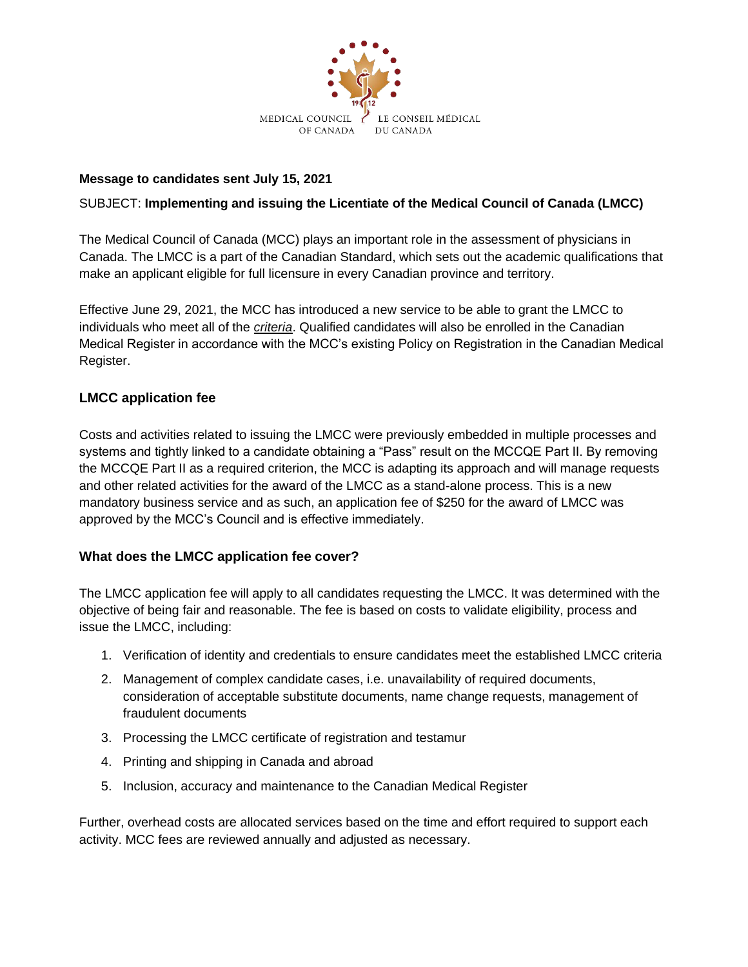

## **Message to candidates sent July 15, 2021**

## SUBJECT: **Implementing and issuing the Licentiate of the Medical Council of Canada (LMCC)**

The Medical Council of Canada (MCC) plays an important role in the assessment of physicians in Canada. The LMCC is a part of the Canadian Standard, which sets out the academic qualifications that make an applicant eligible for full licensure in every Canadian province and territory.

Effective June 29, 2021, the MCC has introduced a new service to be able to grant the LMCC to individuals who meet all of the *[criteria](https://mcc.ca/about/lmcc/)*. Qualified candidates will also be enrolled in the Canadian Medical Register in accordance with the MCC's existing Policy on Registration in the Canadian Medical Register.

## **LMCC application fee**

Costs and activities related to issuing the LMCC were previously embedded in multiple processes and systems and tightly linked to a candidate obtaining a "Pass" result on the MCCQE Part II. By removing the MCCQE Part II as a required criterion, the MCC is adapting its approach and will manage requests and other related activities for the award of the LMCC as a stand-alone process. This is a new mandatory business service and as such, an application fee of \$250 for the award of LMCC was approved by the MCC's Council and is effective immediately.

## **What does the LMCC application fee cover?**

The LMCC application fee will apply to all candidates requesting the LMCC. It was determined with the objective of being fair and reasonable. The fee is based on costs to validate eligibility, process and issue the LMCC, including:

- 1. Verification of identity and credentials to ensure candidates meet the established LMCC criteria
- 2. Management of complex candidate cases, i.e. unavailability of required documents, consideration of acceptable substitute documents, name change requests, management of fraudulent documents
- 3. Processing the LMCC certificate of registration and testamur
- 4. Printing and shipping in Canada and abroad
- 5. Inclusion, accuracy and maintenance to the Canadian Medical Register

Further, overhead costs are allocated services based on the time and effort required to support each activity. MCC fees are reviewed annually and adjusted as necessary.